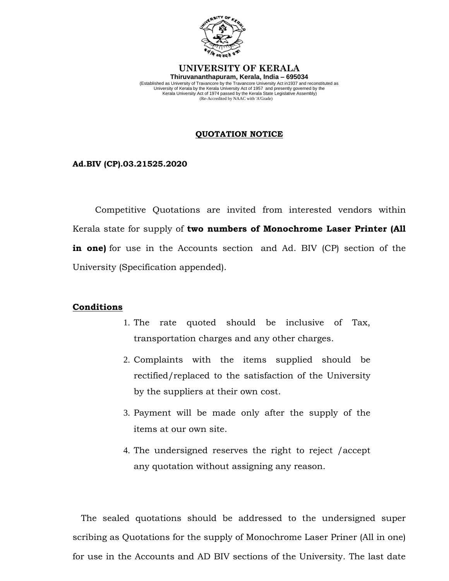

### **UNIVERSITY OF KERALA Thiruvananthapuram, Kerala, India – 695034**

(Established as University of Travancore by the Travancore University Act in1937 and reconstituted as University of Kerala by the Kerala University Act of 1957 and presently governed by the Kerala University Act of 1974 passed by the Kerala State Legislative Assembly)<br>Kerala Chical (State Accredited by NAAC with 'A'Grade)<br>

## **QUOTATION NOTICE**

**Ad.BIV (CP).03.21525.2020**

 Competitive Quotations are invited from interested vendors within Kerala state for supply of **two numbers of Monochrome Laser Printer (All in one)** for use in the Accounts section and Ad. BIV (CP) section of the University (Specification appended).

# **Conditions**

- 1. The rate quoted should be inclusive of Tax, transportation charges and any other charges.
- 2. Complaints with the items supplied should be rectified/replaced to the satisfaction of the University by the suppliers at their own cost.
- 3. Payment will be made only after the supply of the items at our own site.
- 4. The undersigned reserves the right to reject /accept any quotation without assigning any reason.

 The sealed quotations should be addressed to the undersigned super scribing as Quotations for the supply of Monochrome Laser Priner (All in one) for use in the Accounts and AD BIV sections of the University. The last date